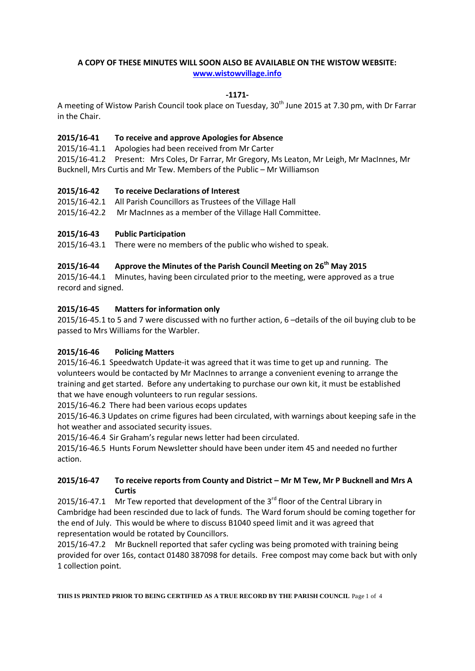## **A COPY OF THESE MINUTES WILL SOON ALSO BE AVAILABLE ON THE WISTOW WEBSITE: [www.wistowvillage.info](http://www.wistowvillage.info/)**

#### **-1171-**

A meeting of Wistow Parish Council took place on Tuesday, 30<sup>th</sup> June 2015 at 7.30 pm, with Dr Farrar in the Chair.

#### **2015/16-41 To receive and approve Apologies for Absence**

2015/16-41.1 Apologies had been received from Mr Carter

2015/16-41.2 Present: Mrs Coles, Dr Farrar, Mr Gregory, Ms Leaton, Mr Leigh, Mr MacInnes, Mr Bucknell, Mrs Curtis and Mr Tew. Members of the Public – Mr Williamson

#### **2015/16-42 To receive Declarations of Interest**

- 2015/16-42.1 All Parish Councillors as Trustees of the Village Hall
- 2015/16-42.2 Mr MacInnes as a member of the Village Hall Committee.

## **2015/16-43 Public Participation**

2015/16-43.1 There were no members of the public who wished to speak.

#### **2015/16-44 Approve the Minutes of the Parish Council Meeting on 26 th May 2015**

2015/16-44.1 Minutes, having been circulated prior to the meeting, were approved as a true record and signed.

#### **2015/16-45 Matters for information only**

2015/16-45.1 to 5 and 7 were discussed with no further action, 6 –details of the oil buying club to be passed to Mrs Williams for the Warbler.

#### **2015/16-46 Policing Matters**

2015/16-46.1 Speedwatch Update-it was agreed that it was time to get up and running. The volunteers would be contacted by Mr MacInnes to arrange a convenient evening to arrange the training and get started. Before any undertaking to purchase our own kit, it must be established that we have enough volunteers to run regular sessions.

2015/16-46.2 There had been various ecops updates

2015/16-46.3 Updates on crime figures had been circulated, with warnings about keeping safe in the hot weather and associated security issues.

2015/16-46.4 Sir Graham's regular news letter had been circulated.

2015/16-46.5 Hunts Forum Newsletter should have been under item 45 and needed no further action.

#### **2015/16-47 To receive reports from County and District – Mr M Tew, Mr P Bucknell and Mrs A Curtis**

2015/16-47.1 Mr Tew reported that development of the  $3^{rd}$  floor of the Central Library in Cambridge had been rescinded due to lack of funds. The Ward forum should be coming together for the end of July. This would be where to discuss B1040 speed limit and it was agreed that representation would be rotated by Councillors.

2015/16-47.2 Mr Bucknell reported that safer cycling was being promoted with training being provided for over 16s, contact 01480 387098 for details. Free compost may come back but with only 1 collection point.

**THIS IS PRINTED PRIOR TO BEING CERTIFIED AS A TRUE RECORD BY THE PARISH COUNCIL** Page 1 of 4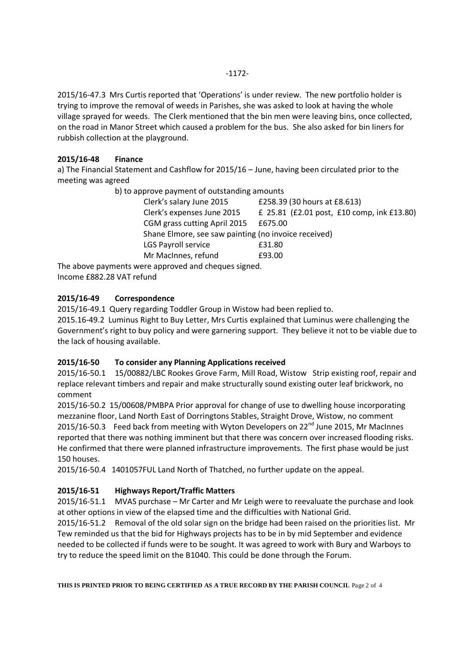2015/16-47.3 Mrs Curtis reported that 'Operations' is under review. The new portfolio holder is trying to improve the removal of weeds in Parishes, she was asked to look at having the whole village sprayed for weeds. The Clerk mentioned that the bin men were leaving bins, once collected, on the road in Manor Street which caused a problem for the bus. She also asked for bin liners for rubbish collection at the playground.

## **2015/16-48 Finance**

a) The Financial Statement and Cashflow for 2015/16 – June, having been circulated prior to the meeting was agreed

b) to approve payment of outstanding amounts

|                                                                                                                                                                        | Clerk's salary June 2015                             | £258.39 (30 hours at £8.613)               |  |  |
|------------------------------------------------------------------------------------------------------------------------------------------------------------------------|------------------------------------------------------|--------------------------------------------|--|--|
|                                                                                                                                                                        | Clerk's expenses June 2015                           | £ 25.81 (£2.01 post, £10 comp, ink £13.80) |  |  |
|                                                                                                                                                                        | CGM grass cutting April 2015                         | £675.00                                    |  |  |
|                                                                                                                                                                        | Shane Elmore, see saw painting (no invoice received) |                                            |  |  |
|                                                                                                                                                                        | LGS Payroll service                                  | £31.80                                     |  |  |
|                                                                                                                                                                        | Mr MacInnes, refund                                  | £93.00                                     |  |  |
| $\overline{a}$ and $\overline{a}$ and $\overline{a}$ and $\overline{a}$ and $\overline{a}$ and $\overline{a}$ and $\overline{a}$ and $\overline{a}$ and $\overline{a}$ |                                                      |                                            |  |  |

The above payments were approved and cheques signed. Income £882.28 VAT refund

# **2015/16-49 Correspondence**

2015/16-49.1 Query regarding Toddler Group in Wistow had been replied to.

2015.16-49.2 Luminus Right to Buy Letter, Mrs Curtis explained that Luminus were challenging the Government's right to buy policy and were garnering support. They believe it not to be viable due to the lack of housing available.

## **2015/16-50 To consider any Planning Applications received**

2015/16-50.1 15/00882/LBC Rookes Grove Farm, Mill Road, Wistow Strip existing roof, repair and replace relevant timbers and repair and make structurally sound existing outer leaf brickwork, no comment

2015/16-50.2 15/00608/PMBPA Prior approval for change of use to dwelling house incorporating mezzanine floor, Land North East of Dorringtons Stables, Straight Drove, Wistow, no comment 2015/16-50.3 Feed back from meeting with Wyton Developers on  $22^{nd}$  June 2015, Mr MacInnes reported that there was nothing imminent but that there was concern over increased flooding risks. He confirmed that there were planned infrastructure improvements. The first phase would be just 150 houses.

2015/16-50.4 1401057FUL Land North of Thatched, no further update on the appeal.

## **2015/16-51 Highways Report/Traffic Matters**

2015/16-51.1 MVAS purchase – Mr Carter and Mr Leigh were to reevaluate the purchase and look at other options in view of the elapsed time and the difficulties with National Grid.

2015/16-51.2 Removal of the old solar sign on the bridge had been raised on the priorities list. Mr Tew reminded us that the bid for Highways projects has to be in by mid September and evidence needed to be collected if funds were to be sought. It was agreed to work with Bury and Warboys to try to reduce the speed limit on the B1040. This could be done through the Forum.

**THIS IS PRINTED PRIOR TO BEING CERTIFIED AS A TRUE RECORD BY THE PARISH COUNCIL** Page 2 of 4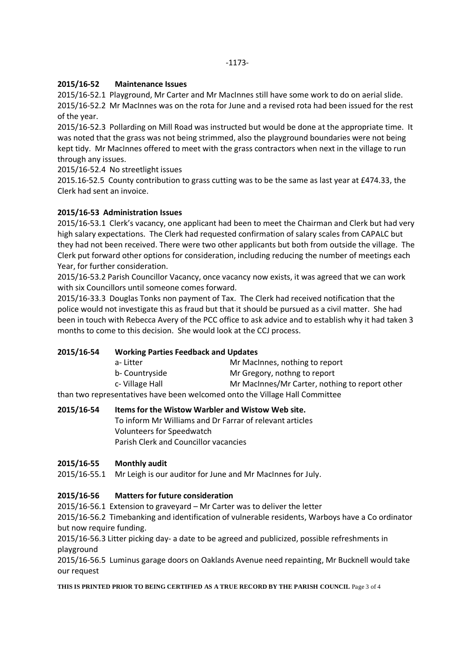## **2015/16-52 Maintenance Issues**

2015/16-52.1 Playground, Mr Carter and Mr MacInnes still have some work to do on aerial slide. 2015/16-52.2 Mr MacInnes was on the rota for June and a revised rota had been issued for the rest of the year.

2015/16-52.3 Pollarding on Mill Road was instructed but would be done at the appropriate time. It was noted that the grass was not being strimmed, also the playground boundaries were not being kept tidy. Mr MacInnes offered to meet with the grass contractors when next in the village to run through any issues.

2015/16-52.4 No streetlight issues

2015.16-52.5 County contribution to grass cutting was to be the same as last year at £474.33, the Clerk had sent an invoice.

## **2015/16-53 Administration Issues**

2015/16-53.1 Clerk's vacancy, one applicant had been to meet the Chairman and Clerk but had very high salary expectations. The Clerk had requested confirmation of salary scales from CAPALC but they had not been received. There were two other applicants but both from outside the village. The Clerk put forward other options for consideration, including reducing the number of meetings each Year, for further consideration.

2015/16-53.2 Parish Councillor Vacancy, once vacancy now exists, it was agreed that we can work with six Councillors until someone comes forward.

2015/16-33.3 Douglas Tonks non payment of Tax. The Clerk had received notification that the police would not investigate this as fraud but that it should be pursued as a civil matter. She had been in touch with Rebecca Avery of the PCC office to ask advice and to establish why it had taken 3 months to come to this decision. She would look at the CCJ process.

## **2015/16-54 Working Parties Feedback and Updates**

| a-Litter                                                                    | Mr MacInnes, nothing to report                 |  |  |  |
|-----------------------------------------------------------------------------|------------------------------------------------|--|--|--|
| b- Countryside                                                              | Mr Gregory, nothng to report                   |  |  |  |
| c- Village Hall                                                             | Mr MacInnes/Mr Carter, nothing to report other |  |  |  |
| than two representatives have been welcomed onto the Village Hall Committee |                                                |  |  |  |

than two representatives have been welcomed onto the Village Hall Committee

#### **2015/16-54 Items for the Wistow Warbler and Wistow Web site.**

To inform Mr Williams and Dr Farrar of relevant articles Volunteers for Speedwatch Parish Clerk and Councillor vacancies

#### **2015/16-55 Monthly audit**

2015/16-55.1 Mr Leigh is our auditor for June and Mr MacInnes for July.

#### **2015/16-56 Matters for future consideration**

2015/16-56.1 Extension to graveyard – Mr Carter was to deliver the letter

2015/16-56.2 Timebanking and identification of vulnerable residents, Warboys have a Co ordinator but now require funding.

2015/16-56.3 Litter picking day- a date to be agreed and publicized, possible refreshments in playground

2015/16-56.5 Luminus garage doors on Oaklands Avenue need repainting, Mr Bucknell would take our request

**THIS IS PRINTED PRIOR TO BEING CERTIFIED AS A TRUE RECORD BY THE PARISH COUNCIL** Page 3 of 4